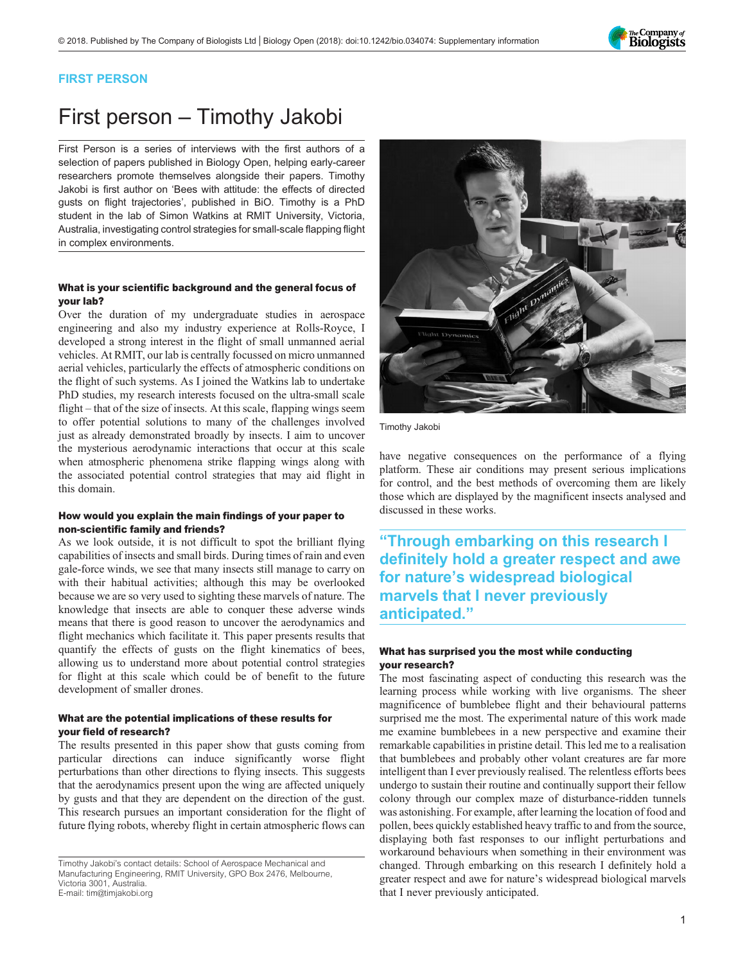

### FIRST PERSON

# First person – Timothy Jakobi

First Person is a series of interviews with the first authors of a selection of papers published in Biology Open, helping early-career researchers promote themselves alongside their papers. Timothy Jakobi is first author on '[Bees with attitude: the effects of directed](#page-1-0) [gusts on flight trajectories](#page-1-0)', published in BiO. Timothy is a PhD student in the lab of Simon Watkins at RMIT University, Victoria, Australia, investigating control strategies for small-scale flapping flight in complex environments.

#### What is your scientific background and the general focus of your lab?

Over the duration of my undergraduate studies in aerospace engineering and also my industry experience at Rolls-Royce, I developed a strong interest in the flight of small unmanned aerial vehicles. At RMIT, our lab is centrally focussed on micro unmanned aerial vehicles, particularly the effects of atmospheric conditions on the flight of such systems. As I joined the Watkins lab to undertake PhD studies, my research interests focused on the ultra-small scale flight – that of the size of insects. At this scale, flapping wings seem to offer potential solutions to many of the challenges involved just as already demonstrated broadly by insects. I aim to uncover the mysterious aerodynamic interactions that occur at this scale when atmospheric phenomena strike flapping wings along with the associated potential control strategies that may aid flight in this domain.

#### How would you explain the main findings of your paper to non-scientific family and friends?

As we look outside, it is not difficult to spot the brilliant flying capabilities of insects and small birds. During times of rain and even gale-force winds, we see that many insects still manage to carry on with their habitual activities; although this may be overlooked because we are so very used to sighting these marvels of nature. The knowledge that insects are able to conquer these adverse winds means that there is good reason to uncover the aerodynamics and flight mechanics which facilitate it. This paper presents results that quantify the effects of gusts on the flight kinematics of bees, allowing us to understand more about potential control strategies for flight at this scale which could be of benefit to the future development of smaller drones.

#### What are the potential implications of these results for your field of research?

The results presented in this paper show that gusts coming from particular directions can induce significantly worse flight perturbations than other directions to flying insects. This suggests that the aerodynamics present upon the wing are affected uniquely by gusts and that they are dependent on the direction of the gust. This research pursues an important consideration for the flight of future flying robots, whereby flight in certain atmospheric flows can



Timothy Jakobi

have negative consequences on the performance of a flying platform. These air conditions may present serious implications for control, and the best methods of overcoming them are likely those which are displayed by the magnificent insects analysed and discussed in these works.

"Through embarking on this research I definitely hold a greater respect and awe for nature's widespread biological marvels that I never previously anticipated."

#### What has surprised you the most while conducting your research?

The most fascinating aspect of conducting this research was the learning process while working with live organisms. The sheer magnificence of bumblebee flight and their behavioural patterns surprised me the most. The experimental nature of this work made me examine bumblebees in a new perspective and examine their remarkable capabilities in pristine detail. This led me to a realisation that bumblebees and probably other volant creatures are far more intelligent than I ever previously realised. The relentless efforts bees undergo to sustain their routine and continually support their fellow colony through our complex maze of disturbance-ridden tunnels was astonishing. For example, after learning the location of food and pollen, bees quickly established heavy traffic to and from the source, displaying both fast responses to our inflight perturbations and workaround behaviours when something in their environment was changed. Through embarking on this research I definitely hold a greater respect and awe for nature's widespread biological marvels that I never previously anticipated.

Timothy Jakobi's contact details: School of Aerospace Mechanical and Manufacturing Engineering, RMIT University, GPO Box 2476, Melbourne, Victoria 3001, Australia. E-mail: [tim@timjakobi.org](mailto:tim@timjakobi.org)